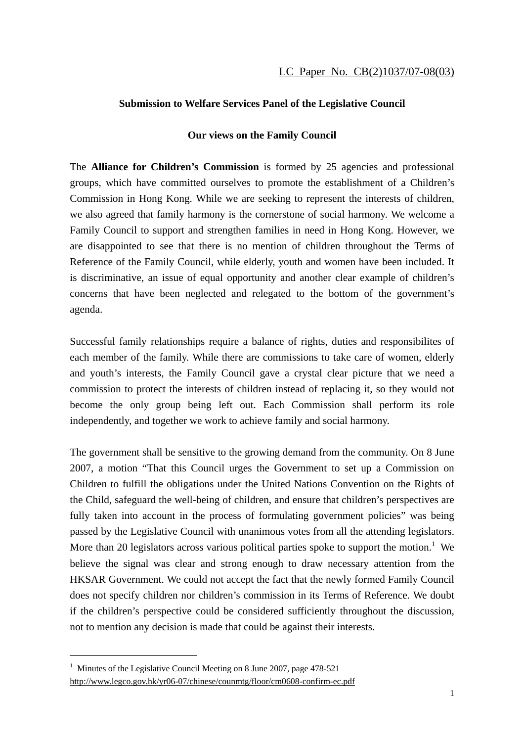## **Submission to Welfare Services Panel of the Legislative Council**

## **Our views on the Family Council**

The **Alliance for Children's Commission** is formed by 25 agencies and professional groups, which have committed ourselves to promote the establishment of a Children's Commission in Hong Kong. While we are seeking to represent the interests of children, we also agreed that family harmony is the cornerstone of social harmony. We welcome a Family Council to support and strengthen families in need in Hong Kong. However, we are disappointed to see that there is no mention of children throughout the Terms of Reference of the Family Council, while elderly, youth and women have been included. It is discriminative, an issue of equal opportunity and another clear example of children's concerns that have been neglected and relegated to the bottom of the government's agenda.

Successful family relationships require a balance of rights, duties and responsibilites of each member of the family. While there are commissions to take care of women, elderly and youth's interests, the Family Council gave a crystal clear picture that we need a commission to protect the interests of children instead of replacing it, so they would not become the only group being left out. Each Commission shall perform its role independently, and together we work to achieve family and social harmony.

The government shall be sensitive to the growing demand from the community. On 8 June 2007, a motion "That this Council urges the Government to set up a Commission on Children to fulfill the obligations under the United Nations Convention on the Rights of the Child, safeguard the well-being of children, and ensure that children's perspectives are fully taken into account in the process of formulating government policies" was being passed by the Legislative Council with unanimous votes from all the attending legislators. More than 20 legislators across various political parties spoke to support the motion.<sup>1</sup> We believe the signal was clear and strong enough to draw necessary attention from the HKSAR Government. We could not accept the fact that the newly formed Family Council does not specify children nor children's commission in its Terms of Reference. We doubt if the children's perspective could be considered sufficiently throughout the discussion, not to mention any decision is made that could be against their interests.

 $\overline{a}$ 

<sup>&</sup>lt;sup>1</sup> Minutes of the Legislative Council Meeting on 8 June 2007, page 478-521 http://www.legco.gov.hk/yr06-07/chinese/counmtg/floor/cm0608-confirm-ec.pdf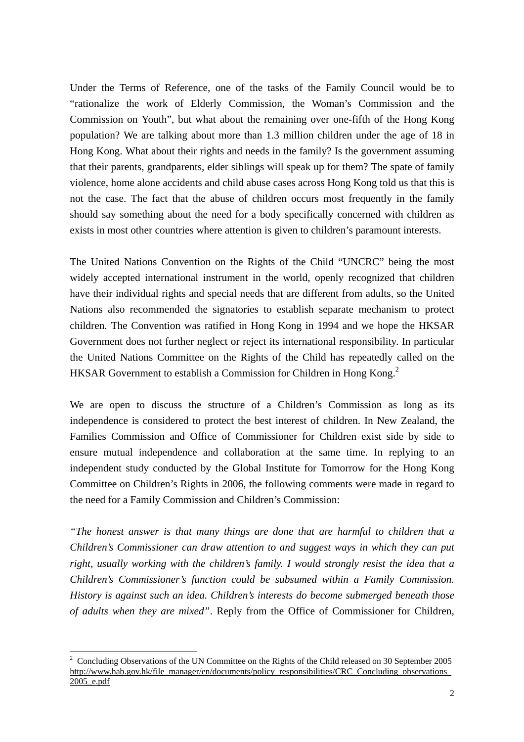Under the Terms of Reference, one of the tasks of the Family Council would be to "rationalize the work of Elderly Commission, the Woman's Commission and the Commission on Youth", but what about the remaining over one-fifth of the Hong Kong population? We are talking about more than 1.3 million children under the age of 18 in Hong Kong. What about their rights and needs in the family? Is the government assuming that their parents, grandparents, elder siblings will speak up for them? The spate of family violence, home alone accidents and child abuse cases across Hong Kong told us that this is not the case. The fact that the abuse of children occurs most frequently in the family should say something about the need for a body specifically concerned with children as exists in most other countries where attention is given to children's paramount interests.

The United Nations Convention on the Rights of the Child "UNCRC" being the most widely accepted international instrument in the world, openly recognized that children have their individual rights and special needs that are different from adults, so the United Nations also recommended the signatories to establish separate mechanism to protect children. The Convention was ratified in Hong Kong in 1994 and we hope the HKSAR Government does not further neglect or reject its international responsibility. In particular the United Nations Committee on the Rights of the Child has repeatedly called on the HKSAR Government to establish a Commission for Children in Hong Kong.<sup>2</sup>

We are open to discuss the structure of a Children's Commission as long as its independence is considered to protect the best interest of children. In New Zealand, the Families Commission and Office of Commissioner for Children exist side by side to ensure mutual independence and collaboration at the same time. In replying to an independent study conducted by the Global Institute for Tomorrow for the Hong Kong Committee on Children's Rights in 2006, the following comments were made in regard to the need for a Family Commission and Children's Commission:

*"The honest answer is that many things are done that are harmful to children that a Children's Commissioner can draw attention to and suggest ways in which they can put right, usually working with the children's family. I would strongly resist the idea that a Children's Commissioner's function could be subsumed within a Family Commission. History is against such an idea. Children's interests do become submerged beneath those of adults when they are mixed"*. Reply from the Office of Commissioner for Children,

 $\overline{a}$ <sup>2</sup> Concluding Observations of the UN Committee on the Rights of the Child released on 30 September 2005 http://www.hab.gov.hk/file\_manager/en/documents/policy\_responsibilities/CRC\_Concluding\_observations 2005\_e.pdf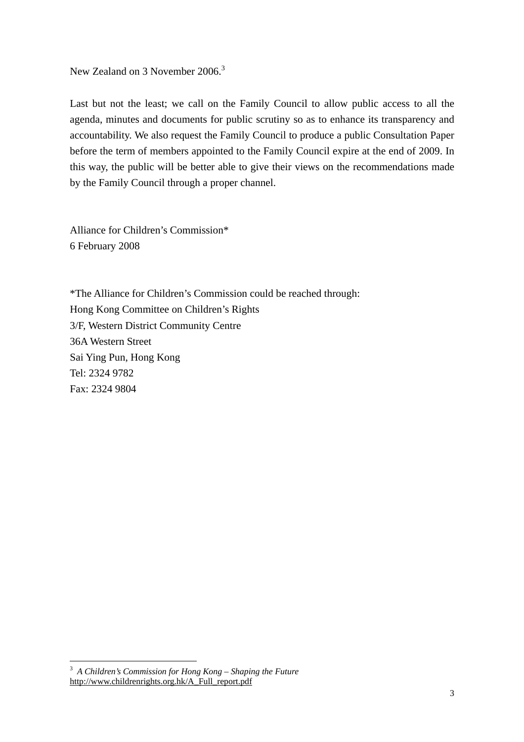## New Zealand on 3 November 2006.<sup>3</sup>

Last but not the least; we call on the Family Council to allow public access to all the agenda, minutes and documents for public scrutiny so as to enhance its transparency and accountability. We also request the Family Council to produce a public Consultation Paper before the term of members appointed to the Family Council expire at the end of 2009. In this way, the public will be better able to give their views on the recommendations made by the Family Council through a proper channel.

Alliance for Children's Commission\* 6 February 2008

\*The Alliance for Children's Commission could be reached through: Hong Kong Committee on Children's Rights 3/F, Western District Community Centre 36A Western Street Sai Ying Pun, Hong Kong Tel: 2324 9782 Fax: 2324 9804

 $\overline{a}$ 

<sup>3</sup> *A Children's Commission for Hong Kong – Shaping the Future* http://www.childrenrights.org.hk/A\_Full\_report.pdf